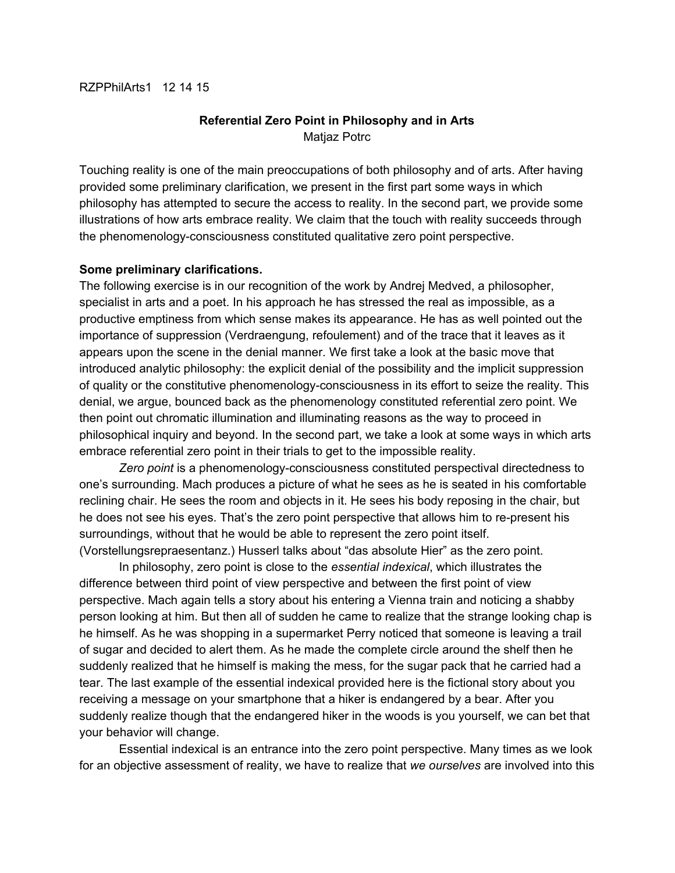#### RZPPhilArts1 12 14 15

### **Referential Zero Point in Philosophy and in Arts** Matjaz Potrc

Touching reality is one of the main preoccupations of both philosophy and of arts. After having provided some preliminary clarification, we present in the first part some ways in which philosophy has attempted to secure the access to reality. In the second part, we provide some illustrations of how arts embrace reality. We claim that the touch with reality succeeds through the phenomenology-consciousness constituted qualitative zero point perspective.

#### **Some preliminary clarifications.**

The following exercise is in our recognition of the work by Andrej Medved, a philosopher, specialist in arts and a poet. In his approach he has stressed the real as impossible, as a productive emptiness from which sense makes its appearance. He has as well pointed out the importance of suppression (Verdraengung, refoulement) and of the trace that it leaves as it appears upon the scene in the denial manner. We first take a look at the basic move that introduced analytic philosophy: the explicit denial of the possibility and the implicit suppression of quality or the constitutive phenomenology-consciousness in its effort to seize the reality. This denial, we argue, bounced back as the phenomenology constituted referential zero point. We then point out chromatic illumination and illuminating reasons as the way to proceed in philosophical inquiry and beyond. In the second part, we take a look at some ways in which arts embrace referential zero point in their trials to get to the impossible reality.

Zero *point* is a phenomenology-consciousness constituted perspectival directedness to one's surrounding. Mach produces a picture of what he sees as he is seated in his comfortable reclining chair. He sees the room and objects in it. He sees his body reposing in the chair, but he does not see his eyes. That's the zero point perspective that allows him to re-present his surroundings, without that he would be able to represent the zero point itself. (Vorstellungsrepraesentanz.) Husserl talks about "das absolute Hier" as the zero point.

In philosophy, zero point is close to the *essential indexical*, which illustrates the difference between third point of view perspective and between the first point of view perspective. Mach again tells a story about his entering a Vienna train and noticing a shabby person looking at him. But then all of sudden he came to realize that the strange looking chap is he himself. As he was shopping in a supermarket Perry noticed that someone is leaving a trail of sugar and decided to alert them. As he made the complete circle around the shelf then he suddenly realized that he himself is making the mess, for the sugar pack that he carried had a tear. The last example of the essential indexical provided here is the fictional story about you receiving a message on your smartphone that a hiker is endangered by a bear. After you suddenly realize though that the endangered hiker in the woods is you yourself, we can bet that your behavior will change.

Essential indexical is an entrance into the zero point perspective. Many times as we look for an objective assessment of reality, we have to realize that *we ourselves* are involved into this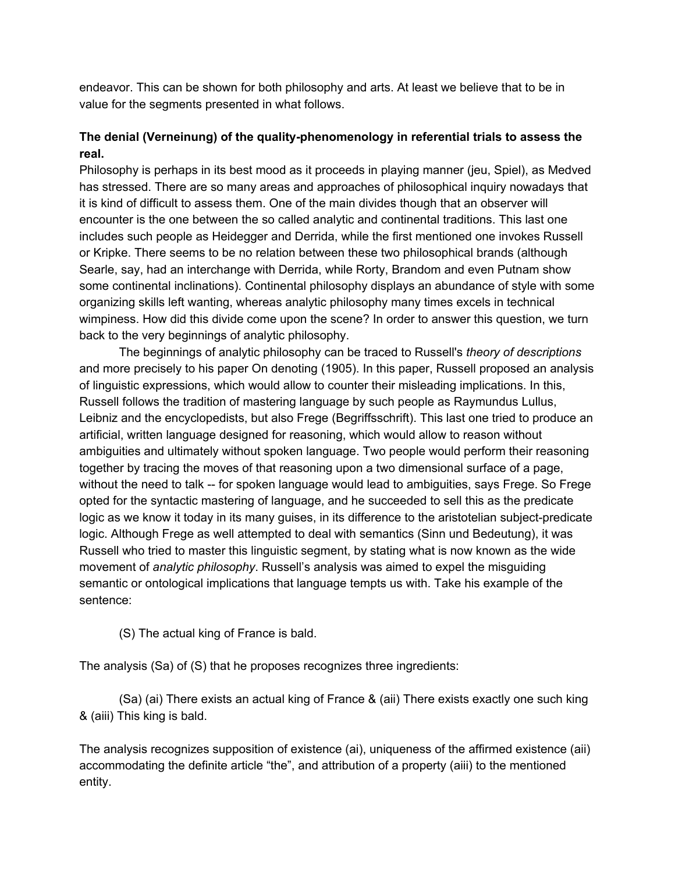endeavor. This can be shown for both philosophy and arts. At least we believe that to be in value for the segments presented in what follows.

## **The denial (Verneinung) of the qualityphenomenology in referential trials to assess the real.**

Philosophy is perhaps in its best mood as it proceeds in playing manner (jeu, Spiel), as Medved has stressed. There are so many areas and approaches of philosophical inquiry nowadays that it is kind of difficult to assess them. One of the main divides though that an observer will encounter is the one between the so called analytic and continental traditions. This last one includes such people as Heidegger and Derrida, while the first mentioned one invokes Russell or Kripke. There seems to be no relation between these two philosophical brands (although Searle, say, had an interchange with Derrida, while Rorty, Brandom and even Putnam show some continental inclinations). Continental philosophy displays an abundance of style with some organizing skills left wanting, whereas analytic philosophy many times excels in technical wimpiness. How did this divide come upon the scene? In order to answer this question, we turn back to the very beginnings of analytic philosophy.

The beginnings of analytic philosophy can be traced to Russell's *theory of descriptions* and more precisely to his paper On denoting (1905). In this paper, Russell proposed an analysis of linguistic expressions, which would allow to counter their misleading implications. In this, Russell follows the tradition of mastering language by such people as Raymundus Lullus, Leibniz and the encyclopedists, but also Frege (Begriffsschrift). This last one tried to produce an artificial, written language designed for reasoning, which would allow to reason without ambiguities and ultimately without spoken language. Two people would perform their reasoning together by tracing the moves of that reasoning upon a two dimensional surface of a page, without the need to talk -- for spoken language would lead to ambiguities, says Frege. So Frege opted for the syntactic mastering of language, and he succeeded to sell this as the predicate logic as we know it today in its many guises, in its difference to the aristotelian subject-predicate logic. Although Frege as well attempted to deal with semantics (Sinn und Bedeutung), it was Russell who tried to master this linguistic segment, by stating what is now known as the wide movement of *analytic philosophy*. Russell's analysis was aimed to expel the misguiding semantic or ontological implications that language tempts us with. Take his example of the sentence:

(S) The actual king of France is bald.

The analysis (Sa) of (S) that he proposes recognizes three ingredients:

(Sa) (ai) There exists an actual king of France & (aii) There exists exactly one such king & (aiii) This king is bald.

The analysis recognizes supposition of existence (ai), uniqueness of the affirmed existence (aii) accommodating the definite article "the", and attribution of a property (aiii) to the mentioned entity.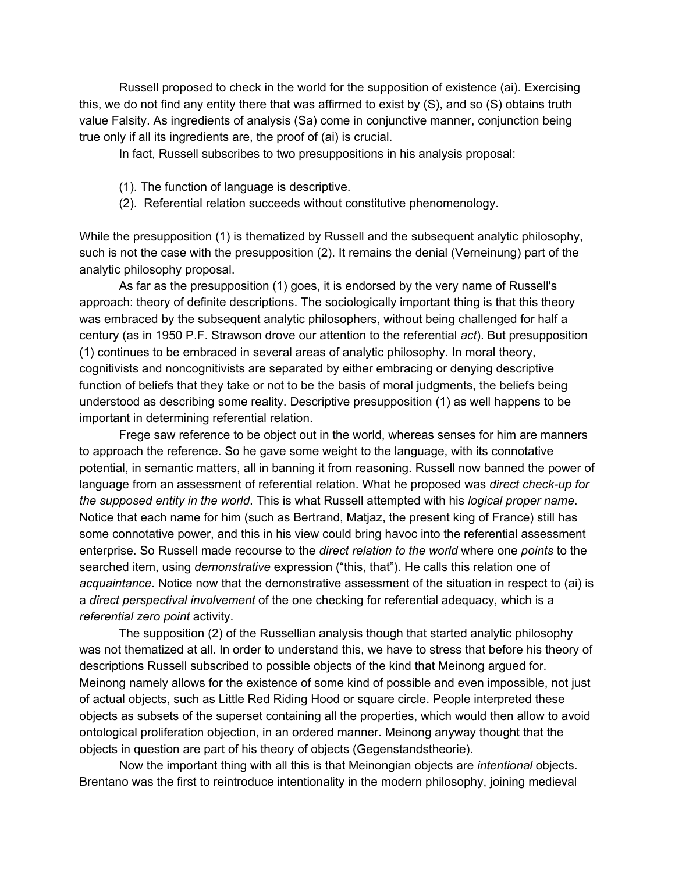Russell proposed to check in the world for the supposition of existence (ai). Exercising this, we do not find any entity there that was affirmed to exist by (S), and so (S) obtains truth value Falsity. As ingredients of analysis (Sa) come in conjunctive manner, conjunction being true only if all its ingredients are, the proof of (ai) is crucial.

In fact, Russell subscribes to two presuppositions in his analysis proposal:

- (1). The function of language is descriptive.
- (2). Referential relation succeeds without constitutive phenomenology.

While the presupposition (1) is thematized by Russell and the subsequent analytic philosophy, such is not the case with the presupposition (2). It remains the denial (Verneinung) part of the analytic philosophy proposal.

As far as the presupposition (1) goes, it is endorsed by the very name of Russell's approach: theory of definite descriptions. The sociologically important thing is that this theory was embraced by the subsequent analytic philosophers, without being challenged for half a century (as in 1950 P.F. Strawson drove our attention to the referential *act*). But presupposition (1) continues to be embraced in several areas of analytic philosophy. In moral theory, cognitivists and noncognitivists are separated by either embracing or denying descriptive function of beliefs that they take or not to be the basis of moral judgments, the beliefs being understood as describing some reality. Descriptive presupposition (1) as well happens to be important in determining referential relation.

Frege saw reference to be object out in the world, whereas senses for him are manners to approach the reference. So he gave some weight to the language, with its connotative potential, in semantic matters, all in banning it from reasoning. Russell now banned the power of language from an assessment of referential relation. What he proposed was *direct check-up for the supposed entity in the world*. This is what Russell attempted with his *logical proper name*. Notice that each name for him (such as Bertrand, Matjaz, the present king of France) still has some connotative power, and this in his view could bring havoc into the referential assessment enterprise. So Russell made recourse to the *direct relation to the world* where one *points* to the searched item, using *demonstrative* expression ("this, that"). He calls this relation one of *acquaintance*. Notice now that the demonstrative assessment of the situation in respect to (ai) is a *direct perspectival involvement* of the one checking for referential adequacy, which is a *referential zero point* activity.

The supposition (2) of the Russellian analysis though that started analytic philosophy was not thematized at all. In order to understand this, we have to stress that before his theory of descriptions Russell subscribed to possible objects of the kind that Meinong argued for. Meinong namely allows for the existence of some kind of possible and even impossible, not just of actual objects, such as Little Red Riding Hood or square circle. People interpreted these objects as subsets of the superset containing all the properties, which would then allow to avoid ontological proliferation objection, in an ordered manner. Meinong anyway thought that the objects in question are part of his theory of objects (Gegenstandstheorie).

Now the important thing with all this is that Meinongian objects are *intentional* objects. Brentano was the first to reintroduce intentionality in the modern philosophy, joining medieval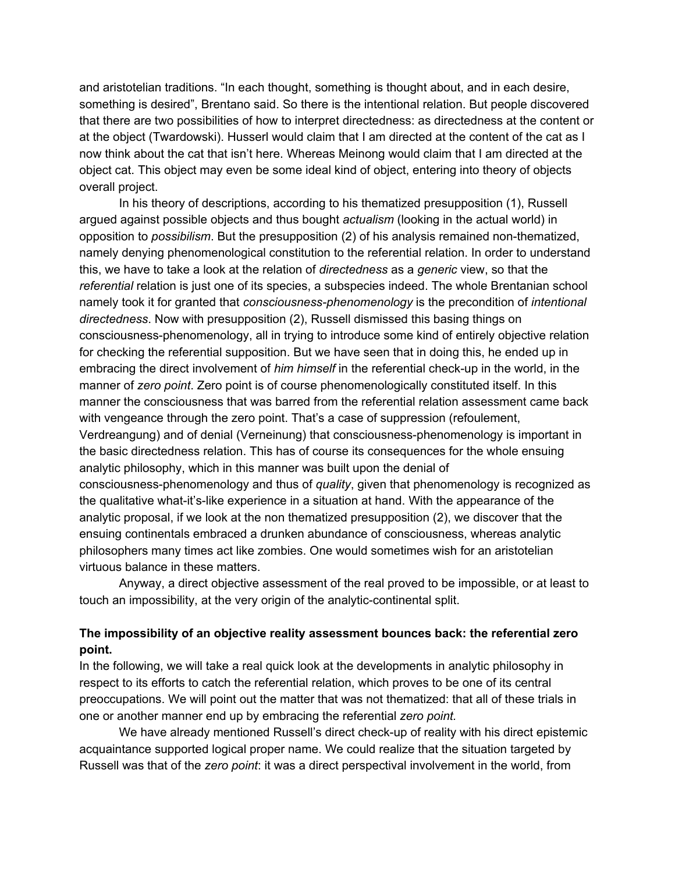and aristotelian traditions. "In each thought, something is thought about, and in each desire, something is desired", Brentano said. So there is the intentional relation. But people discovered that there are two possibilities of how to interpret directedness: as directedness at the content or at the object (Twardowski). Husserl would claim that I am directed at the content of the cat as I now think about the cat that isn't here. Whereas Meinong would claim that I am directed at the object cat. This object may even be some ideal kind of object, entering into theory of objects overall project.

In his theory of descriptions, according to his thematized presupposition (1), Russell argued against possible objects and thus bought *actualism* (looking in the actual world) in opposition to *possibilism*. But the presupposition (2) of his analysis remained non-thematized, namely denying phenomenological constitution to the referential relation. In order to understand this, we have to take a look at the relation of *directedness* as a *generic* view, so that the *referential* relation is just one of its species, a subspecies indeed. The whole Brentanian school namely took it for granted that *consciousnessphenomenology* is the precondition of *intentional directedness*. Now with presupposition (2), Russell dismissed this basing things on consciousness-phenomenology, all in trying to introduce some kind of entirely objective relation for checking the referential supposition. But we have seen that in doing this, he ended up in embracing the direct involvement of *him himself* in the referential check-up in the world, in the manner of *zero point*. Zero point is of course phenomenologically constituted itself. In this manner the consciousness that was barred from the referential relation assessment came back with vengeance through the zero point. That's a case of suppression (refoulement, Verdreangung) and of denial (Verneinung) that consciousness-phenomenology is important in the basic directedness relation. This has of course its consequences for the whole ensuing analytic philosophy, which in this manner was built upon the denial of consciousness-phenomenology and thus of *quality*, given that phenomenology is recognized as the qualitative what-it's-like experience in a situation at hand. With the appearance of the analytic proposal, if we look at the non thematized presupposition (2), we discover that the ensuing continentals embraced a drunken abundance of consciousness, whereas analytic philosophers many times act like zombies. One would sometimes wish for an aristotelian virtuous balance in these matters.

Anyway, a direct objective assessment of the real proved to be impossible, or at least to touch an impossibility, at the very origin of the analytic-continental split.

### **The impossibility of an objective reality assessment bounces back: the referential zero point.**

In the following, we will take a real quick look at the developments in analytic philosophy in respect to its efforts to catch the referential relation, which proves to be one of its central preoccupations. We will point out the matter that was not thematized: that all of these trials in one or another manner end up by embracing the referential *zero point.*

We have already mentioned Russell's direct check-up of reality with his direct epistemic acquaintance supported logical proper name. We could realize that the situation targeted by Russell was that of the *zero point*: it was a direct perspectival involvement in the world, from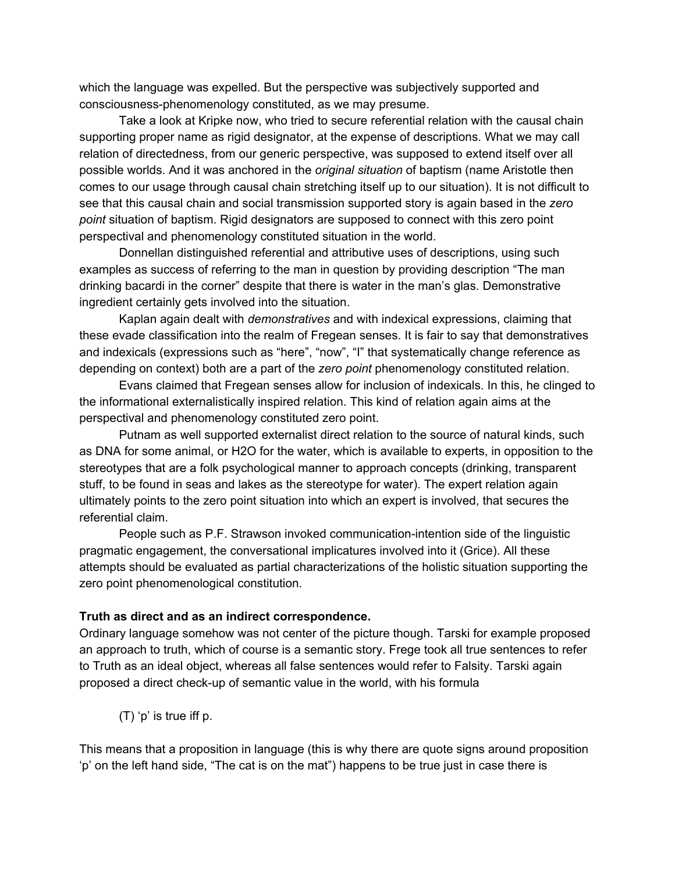which the language was expelled. But the perspective was subjectively supported and consciousness-phenomenology constituted, as we may presume.

Take a look at Kripke now, who tried to secure referential relation with the causal chain supporting proper name as rigid designator, at the expense of descriptions. What we may call relation of directedness, from our generic perspective, was supposed to extend itself over all possible worlds. And it was anchored in the *original situation* of baptism (name Aristotle then comes to our usage through causal chain stretching itself up to our situation). It is not difficult to see that this causal chain and social transmission supported story is again based in the *zero point* situation of baptism. Rigid designators are supposed to connect with this zero point perspectival and phenomenology constituted situation in the world.

Donnellan distinguished referential and attributive uses of descriptions, using such examples as success of referring to the man in question by providing description "The man drinking bacardi in the corner" despite that there is water in the man's glas. Demonstrative ingredient certainly gets involved into the situation.

Kaplan again dealt with *demonstratives* and with indexical expressions, claiming that these evade classification into the realm of Fregean senses. It is fair to say that demonstratives and indexicals (expressions such as "here", "now", "I" that systematically change reference as depending on context) both are a part of the *zero point* phenomenology constituted relation.

Evans claimed that Fregean senses allow for inclusion of indexicals. In this, he clinged to the informational externalistically inspired relation. This kind of relation again aims at the perspectival and phenomenology constituted zero point.

Putnam as well supported externalist direct relation to the source of natural kinds, such as DNA for some animal, or H2O for the water, which is available to experts, in opposition to the stereotypes that are a folk psychological manner to approach concepts (drinking, transparent stuff, to be found in seas and lakes as the stereotype for water). The expert relation again ultimately points to the zero point situation into which an expert is involved, that secures the referential claim.

People such as P.F. Strawson invoked communication-intention side of the linguistic pragmatic engagement, the conversational implicatures involved into it (Grice). All these attempts should be evaluated as partial characterizations of the holistic situation supporting the zero point phenomenological constitution.

#### **Truth as direct and as an indirect correspondence.**

Ordinary language somehow was not center of the picture though. Tarski for example proposed an approach to truth, which of course is a semantic story. Frege took all true sentences to refer to Truth as an ideal object, whereas all false sentences would refer to Falsity. Tarski again proposed a direct check-up of semantic value in the world, with his formula

(T) 'p' is true iff p.

This means that a proposition in language (this is why there are quote signs around proposition 'p' on the left hand side, "The cat is on the mat") happens to be true just in case there is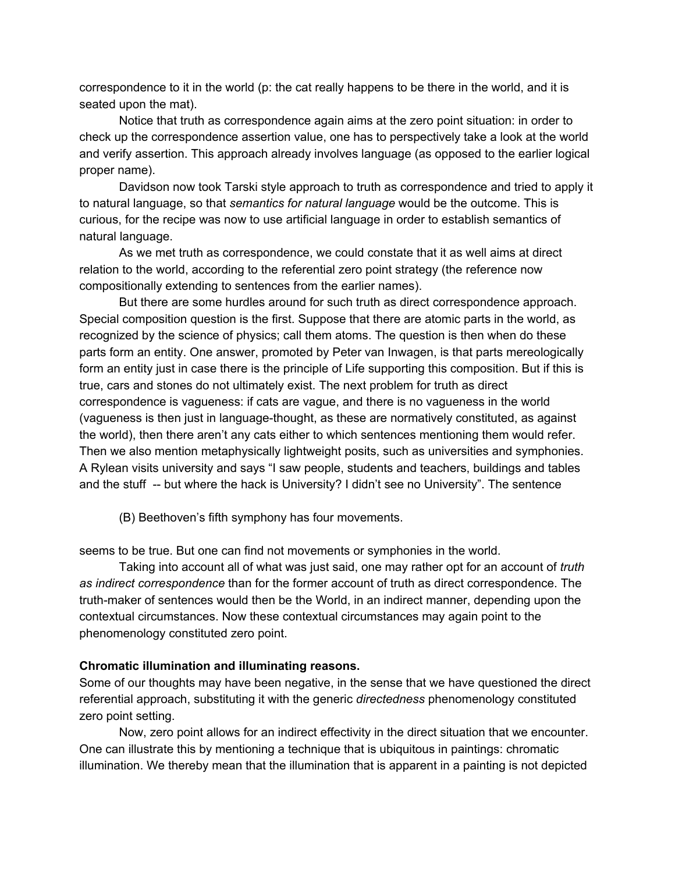correspondence to it in the world (p: the cat really happens to be there in the world, and it is seated upon the mat).

Notice that truth as correspondence again aims at the zero point situation: in order to check up the correspondence assertion value, one has to perspectively take a look at the world and verify assertion. This approach already involves language (as opposed to the earlier logical proper name).

Davidson now took Tarski style approach to truth as correspondence and tried to apply it to natural language, so that *semantics for natural language* would be the outcome. This is curious, for the recipe was now to use artificial language in order to establish semantics of natural language.

As we met truth as correspondence, we could constate that it as well aims at direct relation to the world, according to the referential zero point strategy (the reference now compositionally extending to sentences from the earlier names).

But there are some hurdles around for such truth as direct correspondence approach. Special composition question is the first. Suppose that there are atomic parts in the world, as recognized by the science of physics; call them atoms. The question is then when do these parts form an entity. One answer, promoted by Peter van Inwagen, is that parts mereologically form an entity just in case there is the principle of Life supporting this composition. But if this is true, cars and stones do not ultimately exist. The next problem for truth as direct correspondence is vagueness: if cats are vague, and there is no vagueness in the world (vagueness is then just in language-thought, as these are normatively constituted, as against the world), then there aren't any cats either to which sentences mentioning them would refer. Then we also mention metaphysically lightweight posits, such as universities and symphonies. A Rylean visits university and says "I saw people, students and teachers, buildings and tables and the stuff -- but where the hack is University? I didn't see no University". The sentence

(B) Beethoven's fifth symphony has four movements.

seems to be true. But one can find not movements or symphonies in the world.

Taking into account all of what was just said, one may rather opt for an account of *truth as indirect correspondence* than for the former account of truth as direct correspondence. The truth-maker of sentences would then be the World, in an indirect manner, depending upon the contextual circumstances. Now these contextual circumstances may again point to the phenomenology constituted zero point.

#### **Chromatic illumination and illuminating reasons.**

Some of our thoughts may have been negative, in the sense that we have questioned the direct referential approach, substituting it with the generic *directedness* phenomenology constituted zero point setting.

Now, zero point allows for an indirect effectivity in the direct situation that we encounter. One can illustrate this by mentioning a technique that is ubiquitous in paintings: chromatic illumination. We thereby mean that the illumination that is apparent in a painting is not depicted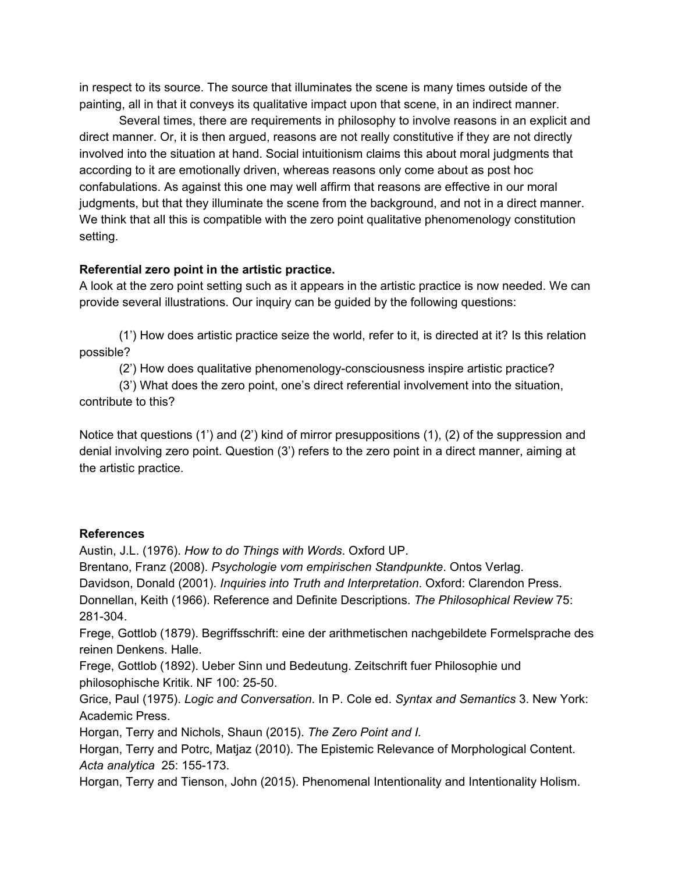in respect to its source. The source that illuminates the scene is many times outside of the painting, all in that it conveys its qualitative impact upon that scene, in an indirect manner.

Several times, there are requirements in philosophy to involve reasons in an explicit and direct manner. Or, it is then argued, reasons are not really constitutive if they are not directly involved into the situation at hand. Social intuitionism claims this about moral judgments that according to it are emotionally driven, whereas reasons only come about as post hoc confabulations. As against this one may well affirm that reasons are effective in our moral judgments, but that they illuminate the scene from the background, and not in a direct manner. We think that all this is compatible with the zero point qualitative phenomenology constitution setting.

### **Referential zero point in the artistic practice.**

A look at the zero point setting such as it appears in the artistic practice is now needed. We can provide several illustrations. Our inquiry can be guided by the following questions:

(1') How does artistic practice seize the world, refer to it, is directed at it? Is this relation possible?

(2') How does qualitative phenomenology-consciousness inspire artistic practice?

(3') What does the zero point, one's direct referential involvement into the situation, contribute to this?

Notice that questions (1') and (2') kind of mirror presuppositions (1), (2) of the suppression and denial involving zero point. Question (3') refers to the zero point in a direct manner, aiming at the artistic practice.

# **References**

Austin, J.L. (1976). *How to do Things with Words*. Oxford UP.

Brentano, Franz (2008). *Psychologie vom empirischen Standpunkte*. Ontos Verlag.

Davidson, Donald (2001). *Inquiries into Truth and Interpretation*. Oxford: Clarendon Press.

Donnellan, Keith (1966). Reference and Definite Descriptions. *The Philosophical Review* 75: 281-304.

Frege, Gottlob (1879). Begriffsschrift: eine der arithmetischen nachgebildete Formelsprache des reinen Denkens. Halle.

Frege, Gottlob (1892). Ueber Sinn und Bedeutung. Zeitschrift fuer Philosophie und philosophische Kritik. NF 100: 25-50.

Grice, Paul (1975). *Logic and Conversation*. In P. Cole ed. *Syntax and Semantics* 3. New York: Academic Press.

Horgan, Terry and Nichols, Shaun (2015). *The Zero Point and I.*

Horgan, Terry and Potrc, Matjaz (2010). The Epistemic Relevance of Morphological Content. *Acta analytica* 25: 155-173.

Horgan, Terry and Tienson, John (2015). Phenomenal Intentionality and Intentionality Holism.